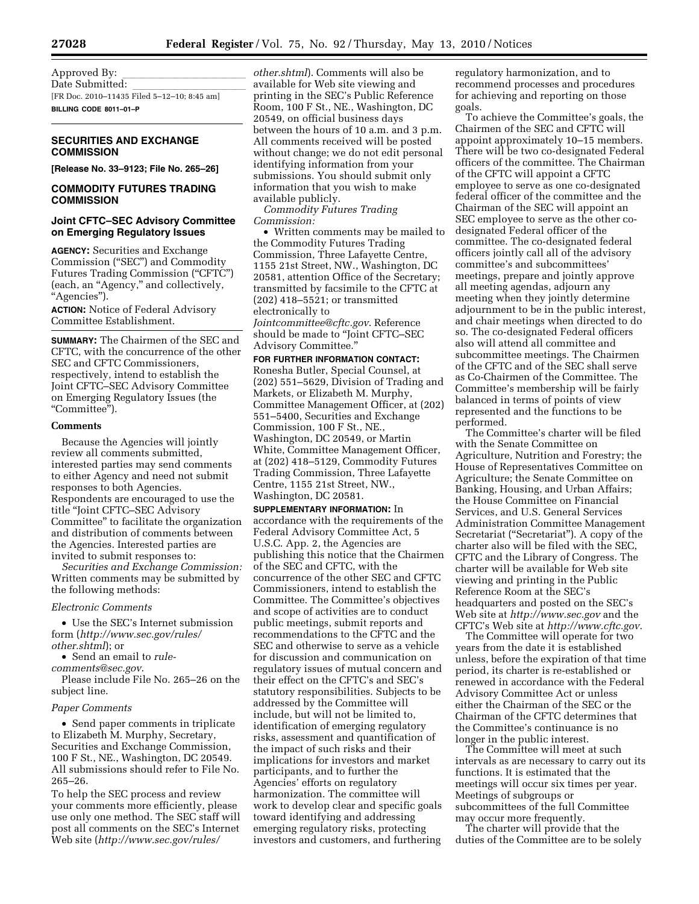Approved By:<br>Date Submitted: Date Submitted: lllllllllll [FR Doc. 2010–11435 Filed 5–12–10; 8:45 am] **BILLING CODE 8011–01–P** 

# **SECURITIES AND EXCHANGE COMMISSION**

**[Release No. 33–9123; File No. 265–26]** 

# **COMMODITY FUTURES TRADING COMMISSION**

# **Joint CFTC–SEC Advisory Committee on Emerging Regulatory Issues**

**AGENCY:** Securities and Exchange Commission (''SEC'') and Commodity Futures Trading Commission (''CFTC'') (each, an ''Agency,'' and collectively, ''Agencies'').

**ACTION:** Notice of Federal Advisory Committee Establishment.

**SUMMARY:** The Chairmen of the SEC and CFTC, with the concurrence of the other SEC and CFTC Commissioners, respectively, intend to establish the Joint CFTC–SEC Advisory Committee on Emerging Regulatory Issues (the ''Committee'').

### **Comments**

Because the Agencies will jointly review all comments submitted, interested parties may send comments to either Agency and need not submit responses to both Agencies. Respondents are encouraged to use the title ''Joint CFTC–SEC Advisory Committee'' to facilitate the organization and distribution of comments between the Agencies. Interested parties are invited to submit responses to:

*Securities and Exchange Commission:*  Written comments may be submitted by the following methods:

# *Electronic Comments*

• Use the SEC's Internet submission form (*http://www.sec.gov/rules/ other.shtml*); or

• Send an email to *rule-*

*comments@sec.gov*.

Please include File No. 265–26 on the subject line.

# *Paper Comments*

• Send paper comments in triplicate to Elizabeth M. Murphy, Secretary, Securities and Exchange Commission, 100 F St., NE., Washington, DC 20549. All submissions should refer to File No. 265–26.

To help the SEC process and review your comments more efficiently, please use only one method. The SEC staff will post all comments on the SEC's Internet Web site (*http://www.sec.gov/rules/* 

*other.shtml*). Comments will also be available for Web site viewing and printing in the SEC's Public Reference Room, 100 F St., NE., Washington, DC 20549, on official business days between the hours of 10 a.m. and 3 p.m. All comments received will be posted without change; we do not edit personal identifying information from your submissions. You should submit only information that you wish to make available publicly.

*Commodity Futures Trading Commission:* 

• Written comments may be mailed to the Commodity Futures Trading Commission, Three Lafayette Centre, 1155 21st Street, NW., Washington, DC 20581, attention Office of the Secretary; transmitted by facsimile to the CFTC at (202) 418–5521; or transmitted electronically to *Jointcommittee@cftc.gov*. Reference should be made to ''Joint CFTC–SEC Advisory Committee.''

# **FOR FURTHER INFORMATION CONTACT:**

Ronesha Butler, Special Counsel, at (202) 551–5629, Division of Trading and Markets, or Elizabeth M. Murphy, Committee Management Officer, at (202) 551–5400, Securities and Exchange Commission, 100 F St., NE., Washington, DC 20549, or Martin White, Committee Management Officer, at (202) 418–5129, Commodity Futures Trading Commission, Three Lafayette Centre, 1155 21st Street, NW., Washington, DC 20581.

**SUPPLEMENTARY INFORMATION:** In accordance with the requirements of the Federal Advisory Committee Act, 5 U.S.C. App. 2, the Agencies are publishing this notice that the Chairmen of the SEC and CFTC, with the concurrence of the other SEC and CFTC Commissioners, intend to establish the Committee. The Committee's objectives and scope of activities are to conduct public meetings, submit reports and recommendations to the CFTC and the SEC and otherwise to serve as a vehicle for discussion and communication on regulatory issues of mutual concern and their effect on the CFTC's and SEC's statutory responsibilities. Subjects to be addressed by the Committee will include, but will not be limited to, identification of emerging regulatory risks, assessment and quantification of the impact of such risks and their implications for investors and market participants, and to further the Agencies' efforts on regulatory harmonization. The committee will work to develop clear and specific goals toward identifying and addressing emerging regulatory risks, protecting investors and customers, and furthering

regulatory harmonization, and to recommend processes and procedures for achieving and reporting on those goals.

To achieve the Committee's goals, the Chairmen of the SEC and CFTC will appoint approximately 10–15 members. There will be two co-designated Federal officers of the committee. The Chairman of the CFTC will appoint a CFTC employee to serve as one co-designated federal officer of the committee and the Chairman of the SEC will appoint an SEC employee to serve as the other codesignated Federal officer of the committee. The co-designated federal officers jointly call all of the advisory committee's and subcommittees' meetings, prepare and jointly approve all meeting agendas, adjourn any meeting when they jointly determine adjournment to be in the public interest, and chair meetings when directed to do so. The co-designated Federal officers also will attend all committee and subcommittee meetings. The Chairmen of the CFTC and of the SEC shall serve as Co-Chairmen of the Committee. The Committee's membership will be fairly balanced in terms of points of view represented and the functions to be performed.

The Committee's charter will be filed with the Senate Committee on Agriculture, Nutrition and Forestry; the House of Representatives Committee on Agriculture; the Senate Committee on Banking, Housing, and Urban Affairs; the House Committee on Financial Services, and U.S. General Services Administration Committee Management Secretariat ("Secretariat"). A copy of the charter also will be filed with the SEC, CFTC and the Library of Congress. The charter will be available for Web site viewing and printing in the Public Reference Room at the SEC's headquarters and posted on the SEC's Web site at *http://www.sec.gov* and the CFTC's Web site at *http://www.cftc.gov*.

The Committee will operate for two years from the date it is established unless, before the expiration of that time period, its charter is re-established or renewed in accordance with the Federal Advisory Committee Act or unless either the Chairman of the SEC or the Chairman of the CFTC determines that the Committee's continuance is no longer in the public interest.

The Committee will meet at such intervals as are necessary to carry out its functions. It is estimated that the meetings will occur six times per year. Meetings of subgroups or subcommittees of the full Committee may occur more frequently.

The charter will provide that the duties of the Committee are to be solely